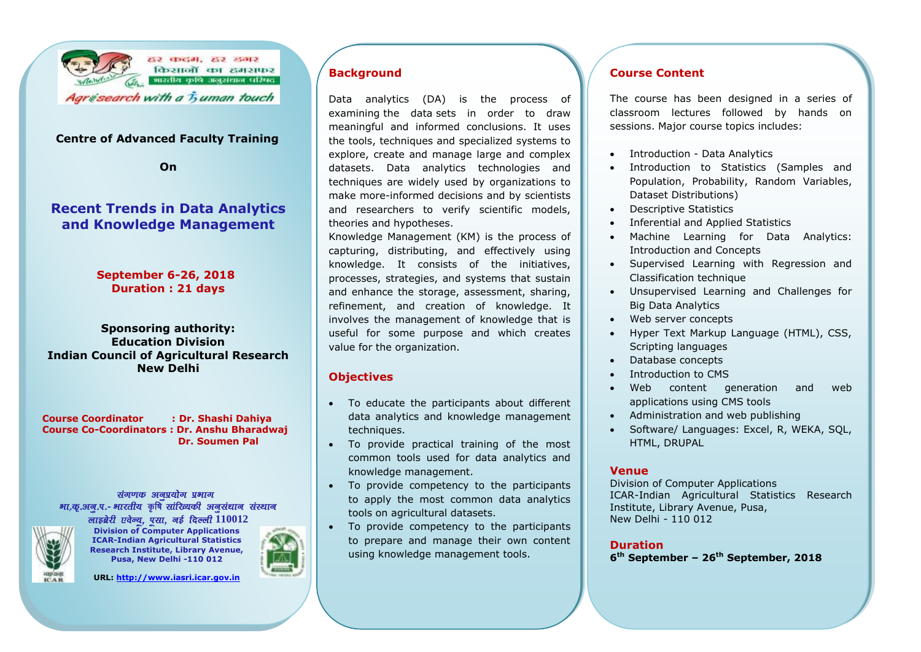

### **Centre of Advanced Faculty Training**

**On**

# **Recent Trends in Data Analytics and Knowledge Management**

**September 6-26, 2018 Duration : 21 days**

### **Sponsoring authority: Education Division Indian Council of Agricultural Research New Delhi**

**Course Coordinator : Dr. Shashi Dahiya Course Co-Coordinators : Dr. Anshu Bharadwaj Dr. Soumen Pal**

### संगणक अनप्रयोग प्रभाग भा.क्.अन.प.- भारतीय कृषि सांरिव्यकी अनसंधान संस्थान लाइब्रेरी एवेन्यू, पुसा, **वई दिल्ली 110012**



**Division of Computer Applications ICAR-Indian Agricultural Statistics Research Institute, Library Avenue, Pusa, New Delhi -110 012**



**URL[: http://www.iasri.icar.gov.in](http://www.iasri.res.in/)**

# **Background**

Data analytics (DA) is the process of examining the [data](https://searchdatamanagement.techtarget.com/definition/data) sets in order to draw meaningful and informed conclusions. It uses the tools, techniques and specialized systems to explore, create and manage large and complex datasets. Data analytics technologies and techniques are widely used by organizations to make more-informed decisions and by scientists and researchers to verify scientific models, theories and hypotheses.

Knowledge Management (KM) is the process of capturing, distributing, and effectively using knowledge. It consists of the initiatives, processes, strategies, and systems that sustain and enhance the storage, assessment, sharing, refinement, and creation of knowledge. It involves the management of knowledge that is useful for some purpose and which creates value for the organization.

### **Objectives**

- To educate the participants about different data analytics and knowledge management techniques.
- To provide practical training of the most common tools used for data analytics and knowledge management.
- To provide competency to the participants to apply the most common data analytics tools on agricultural datasets.
- To provide competency to the participants to prepare and manage their own content using knowledge management tools.

### **Course Content**

The course has been designed in a series of classroom lectures followed by hands on sessions. Major course topics includes:

- Introduction Data Analytics
- Introduction to Statistics (Samples and Population, Probability, Random Variables, Dataset Distributions)
- Descriptive Statistics
- Inferential and Applied Statistics
- Machine Learning for Data Analytics: Introduction and Concepts
- Supervised Learning with Regression and Classification technique
- Unsupervised Learning and Challenges for Big Data Analytics
- Web server concepts
- Hyper Text Markup Language (HTML), CSS, Scripting languages
- Database concepts
- Introduction to CMS
- Web content generation and web applications using CMS tools
- Administration and web publishing
- Software/ Languages: Excel, R, WEKA, SQL, HTML, DRUPAL

### **Venue**

Division of Computer Applications ICAR-Indian Agricultural Statistics Research Institute, Library Avenue, Pusa, New Delhi - 110 012

## **Duration**

**6 th September – 26th September, 2018**